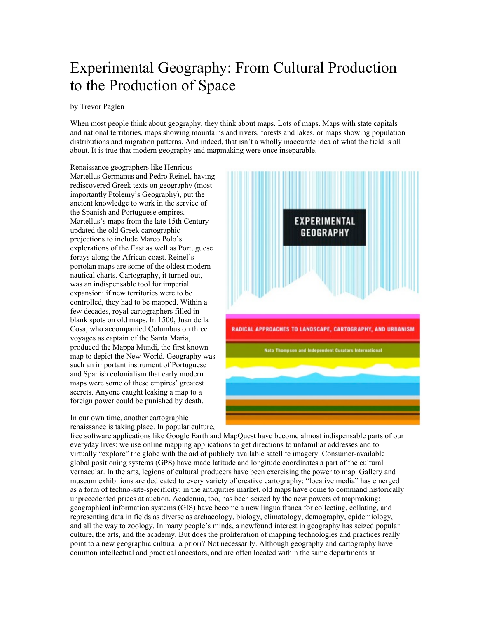## Experimental Geography: From Cultural Production to the Production of Space

## by Trevor Paglen

When most people think about geography, they think about maps. Lots of maps. Maps with state capitals and national territories, maps showing mountains and rivers, forests and lakes, or maps showing population distributions and migration patterns. And indeed, that isn't a wholly inaccurate idea of what the field is all about. It is true that modern geography and mapmaking were once inseparable.

Renaissance geographers like Henricus Martellus Germanus and Pedro Reinel, having rediscovered Greek texts on geography (most importantly Ptolemy's Geography), put the ancient knowledge to work in the service of the Spanish and Portuguese empires. Martellus's maps from the late 15th Century updated the old Greek cartographic projections to include Marco Polo's explorations of the East as well as Portuguese forays along the African coast. Reinel's portolan maps are some of the oldest modern nautical charts. Cartography, it turned out, was an indispensable tool for imperial expansion: if new territories were to be controlled, they had to be mapped. Within a few decades, royal cartographers filled in blank spots on old maps. In 1500, Juan de la Cosa, who accompanied Columbus on three voyages as captain of the Santa Maria, produced the Mappa Mundi, the first known map to depict the New World. Geography was such an important instrument of Portuguese and Spanish colonialism that early modern maps were some of these empires' greatest secrets. Anyone caught leaking a map to a foreign power could be punished by death.

In our own time, another cartographic renaissance is taking place. In popular culture,



free software applications like Google Earth and MapQuest have become almost indispensable parts of our everyday lives: we use online mapping applications to get directions to unfamiliar addresses and to virtually "explore" the globe with the aid of publicly available satellite imagery. Consumer-available global positioning systems (GPS) have made latitude and longitude coordinates a part of the cultural vernacular. In the arts, legions of cultural producers have been exercising the power to map. Gallery and museum exhibitions are dedicated to every variety of creative cartography; "locative media" has emerged as a form of techno-site-specificity; in the antiquities market, old maps have come to command historically unprecedented prices at auction. Academia, too, has been seized by the new powers of mapmaking: geographical information systems (GIS) have become a new lingua franca for collecting, collating, and representing data in fields as diverse as archaeology, biology, climatology, demography, epidemiology, and all the way to zoology. In many people's minds, a newfound interest in geography has seized popular culture, the arts, and the academy. But does the proliferation of mapping technologies and practices really point to a new geographic cultural a priori? Not necessarily. Although geography and cartography have common intellectual and practical ancestors, and are often located within the same departments at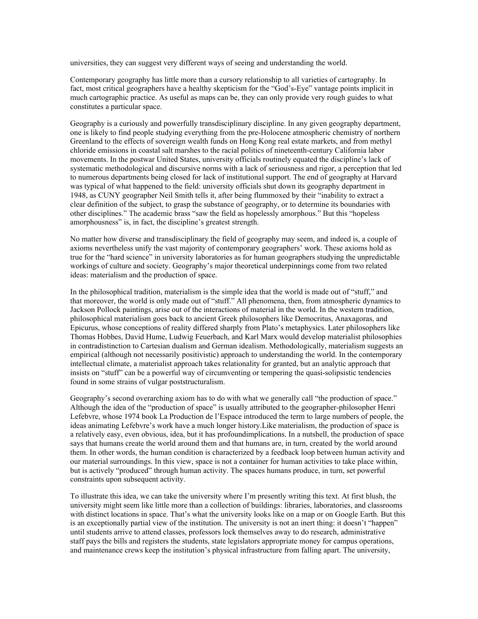universities, they can suggest very different ways of seeing and understanding the world.

Contemporary geography has little more than a cursory relationship to all varieties of cartography. In fact, most critical geographers have a healthy skepticism for the "God's-Eye" vantage points implicit in much cartographic practice. As useful as maps can be, they can only provide very rough guides to what constitutes a particular space.

Geography is a curiously and powerfully transdisciplinary discipline. In any given geography department, one is likely to find people studying everything from the pre-Holocene atmospheric chemistry of northern Greenland to the effects of sovereign wealth funds on Hong Kong real estate markets, and from methyl chloride emissions in coastal salt marshes to the racial politics of nineteenth-century California labor movements. In the postwar United States, university officials routinely equated the discipline's lack of systematic methodological and discursive norms with a lack of seriousness and rigor, a perception that led to numerous departments being closed for lack of institutional support. The end of geography at Harvard was typical of what happened to the field: university officials shut down its geography department in 1948, as CUNY geographer Neil Smith tells it, after being flummoxed by their "inability to extract a clear definition of the subject, to grasp the substance of geography, or to determine its boundaries with other disciplines." The academic brass "saw the field as hopelessly amorphous." But this "hopeless amorphousness" is, in fact, the discipline's greatest strength.

No matter how diverse and transdisciplinary the field of geography may seem, and indeed is, a couple of axioms nevertheless unify the vast majority of contemporary geographers' work. These axioms hold as true for the "hard science" in university laboratories as for human geographers studying the unpredictable workings of culture and society. Geography's major theoretical underpinnings come from two related ideas: materialism and the production of space.

In the philosophical tradition, materialism is the simple idea that the world is made out of "stuff," and that moreover, the world is only made out of "stuff." All phenomena, then, from atmospheric dynamics to Jackson Pollock paintings, arise out of the interactions of material in the world. In the western tradition, philosophical materialism goes back to ancient Greek philosophers like Democritus, Anaxagoras, and Epicurus, whose conceptions of reality differed sharply from Plato's metaphysics. Later philosophers like Thomas Hobbes, David Hume, Ludwig Feuerbach, and Karl Marx would develop materialist philosophies in contradistinction to Cartesian dualism and German idealism. Methodologically, materialism suggests an empirical (although not necessarily positivistic) approach to understanding the world. In the contemporary intellectual climate, a materialist approach takes relationality for granted, but an analytic approach that insists on "stuff" can be a powerful way of circumventing or tempering the quasi-solipsistic tendencies found in some strains of vulgar poststructuralism.

Geography's second overarching axiom has to do with what we generally call "the production of space." Although the idea of the "production of space" is usually attributed to the geographer-philosopher Henri Lefebvre, whose 1974 book La Production de l'Espace introduced the term to large numbers of people, the ideas animating Lefebvre's work have a much longer history.Like materialism, the production of space is a relatively easy, even obvious, idea, but it has profoundimplications. In a nutshell, the production of space says that humans create the world around them and that humans are, in turn, created by the world around them. In other words, the human condition is characterized by a feedback loop between human activity and our material surroundings. In this view, space is not a container for human activities to take place within, but is actively "produced" through human activity. The spaces humans produce, in turn, set powerful constraints upon subsequent activity.

To illustrate this idea, we can take the university where I'm presently writing this text. At first blush, the university might seem like little more than a collection of buildings: libraries, laboratories, and classrooms with distinct locations in space. That's what the university looks like on a map or on Google Earth. But this is an exceptionally partial view of the institution. The university is not an inert thing: it doesn't "happen" until students arrive to attend classes, professors lock themselves away to do research, administrative staff pays the bills and registers the students, state legislators appropriate money for campus operations, and maintenance crews keep the institution's physical infrastructure from falling apart. The university,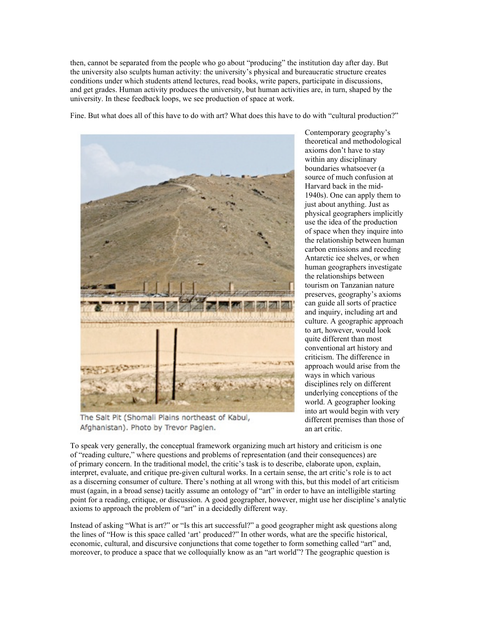then, cannot be separated from the people who go about "producing" the institution day after day. But the university also sculpts human activity: the university's physical and bureaucratic structure creates conditions under which students attend lectures, read books, write papers, participate in discussions, and get grades. Human activity produces the university, but human activities are, in turn, shaped by the university. In these feedback loops, we see production of space at work.

Fine. But what does all of this have to do with art? What does this have to do with "cultural production?"



The Salt Pit (Shomali Plains northeast of Kabul, Afghanistan). Photo by Trevor Paglen.

Contemporary geography's theoretical and methodological axioms don't have to stay within any disciplinary boundaries whatsoever (a source of much confusion at Harvard back in the mid-1940s). One can apply them to just about anything. Just as physical geographers implicitly use the idea of the production of space when they inquire into the relationship between human carbon emissions and receding Antarctic ice shelves, or when human geographers investigate the relationships between tourism on Tanzanian nature preserves, geography's axioms can guide all sorts of practice and inquiry, including art and culture. A geographic approach to art, however, would look quite different than most conventional art history and criticism. The difference in approach would arise from the ways in which various disciplines rely on different underlying conceptions of the world. A geographer looking into art would begin with very different premises than those of an art critic.

To speak very generally, the conceptual framework organizing much art history and criticism is one of "reading culture," where questions and problems of representation (and their consequences) are of primary concern. In the traditional model, the critic's task is to describe, elaborate upon, explain, interpret, evaluate, and critique pre-given cultural works. In a certain sense, the art critic's role is to act as a discerning consumer of culture. There's nothing at all wrong with this, but this model of art criticism must (again, in a broad sense) tacitly assume an ontology of "art" in order to have an intelligible starting point for a reading, critique, or discussion. A good geographer, however, might use her discipline's analytic axioms to approach the problem of "art" in a decidedly different way.

Instead of asking "What is art?" or "Is this art successful?" a good geographer might ask questions along the lines of "How is this space called 'art' produced?" In other words, what are the specific historical, economic, cultural, and discursive conjunctions that come together to form something called "art" and, moreover, to produce a space that we colloquially know as an "art world"? The geographic question is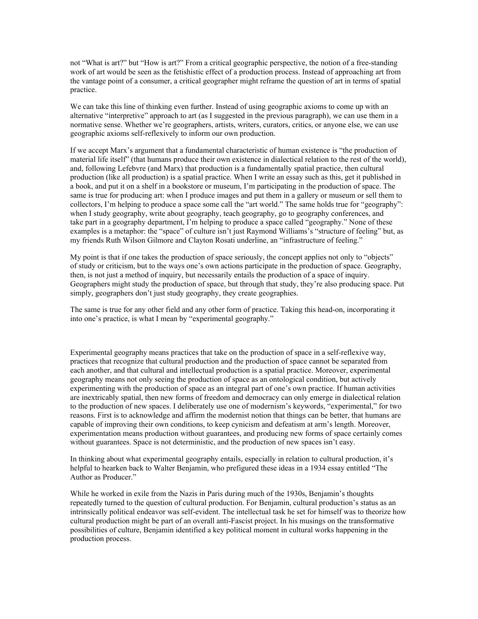not "What is art?" but "How is art?" From a critical geographic perspective, the notion of a free-standing work of art would be seen as the fetishistic effect of a production process. Instead of approaching art from the vantage point of a consumer, a critical geographer might reframe the question of art in terms of spatial practice.

We can take this line of thinking even further. Instead of using geographic axioms to come up with an alternative "interpretive" approach to art (as I suggested in the previous paragraph), we can use them in a normative sense. Whether we're geographers, artists, writers, curators, critics, or anyone else, we can use geographic axioms self-reflexively to inform our own production.

If we accept Marx's argument that a fundamental characteristic of human existence is "the production of material life itself" (that humans produce their own existence in dialectical relation to the rest of the world), and, following Lefebvre (and Marx) that production is a fundamentally spatial practice, then cultural production (like all production) is a spatial practice. When I write an essay such as this, get it published in a book, and put it on a shelf in a bookstore or museum, I'm participating in the production of space. The same is true for producing art: when I produce images and put them in a gallery or museum or sell them to collectors, I'm helping to produce a space some call the "art world." The same holds true for "geography": when I study geography, write about geography, teach geography, go to geography conferences, and take part in a geography department, I'm helping to produce a space called "geography." None of these examples is a metaphor: the "space" of culture isn't just Raymond Williams's "structure of feeling" but, as my friends Ruth Wilson Gilmore and Clayton Rosati underline, an "infrastructure of feeling."

My point is that if one takes the production of space seriously, the concept applies not only to "objects" of study or criticism, but to the ways one's own actions participate in the production of space. Geography, then, is not just a method of inquiry, but necessarily entails the production of a space of inquiry. Geographers might study the production of space, but through that study, they're also producing space. Put simply, geographers don't just study geography, they create geographies.

The same is true for any other field and any other form of practice. Taking this head-on, incorporating it into one's practice, is what I mean by "experimental geography."

Experimental geography means practices that take on the production of space in a self-reflexive way, practices that recognize that cultural production and the production of space cannot be separated from each another, and that cultural and intellectual production is a spatial practice. Moreover, experimental geography means not only seeing the production of space as an ontological condition, but actively experimenting with the production of space as an integral part of one's own practice. If human activities are inextricably spatial, then new forms of freedom and democracy can only emerge in dialectical relation to the production of new spaces. I deliberately use one of modernism's keywords, "experimental," for two reasons. First is to acknowledge and affirm the modernist notion that things can be better, that humans are capable of improving their own conditions, to keep cynicism and defeatism at arm's length. Moreover, experimentation means production without guarantees, and producing new forms of space certainly comes without guarantees. Space is not deterministic, and the production of new spaces isn't easy.

In thinking about what experimental geography entails, especially in relation to cultural production, it's helpful to hearken back to Walter Benjamin, who prefigured these ideas in a 1934 essay entitled "The Author as Producer."

While he worked in exile from the Nazis in Paris during much of the 1930s, Benjamin's thoughts repeatedly turned to the question of cultural production. For Benjamin, cultural production's status as an intrinsically political endeavor was self-evident. The intellectual task he set for himself was to theorize how cultural production might be part of an overall anti-Fascist project. In his musings on the transformative possibilities of culture, Benjamin identified a key political moment in cultural works happening in the production process.